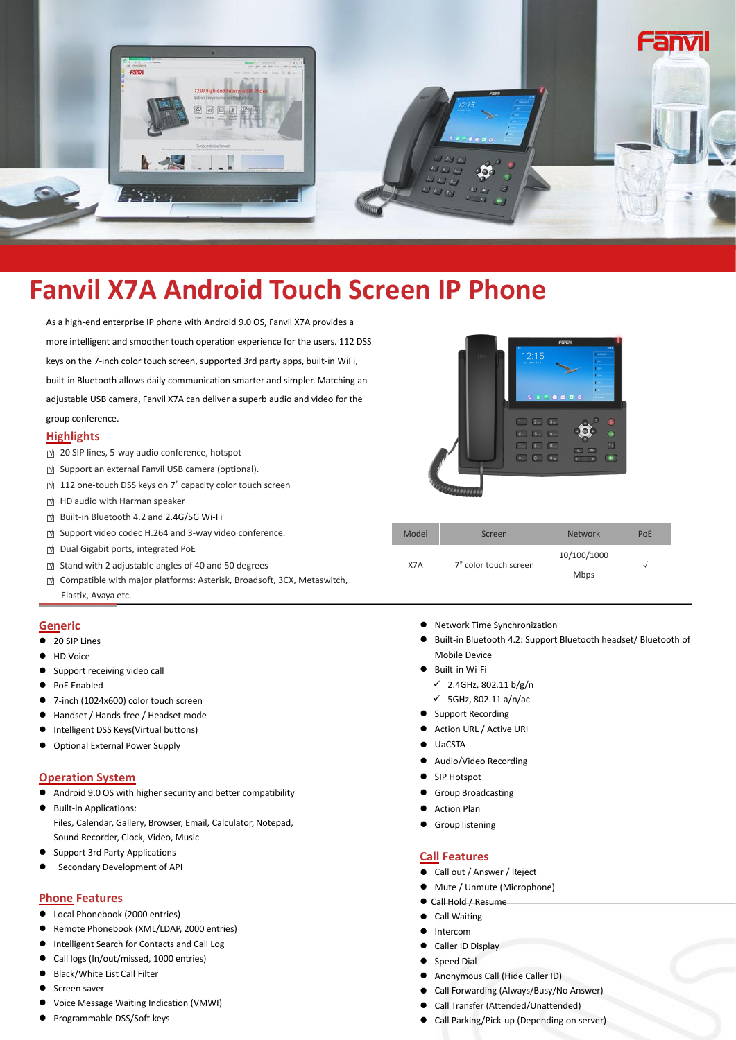

# **Fanvil X7A Android Touch Screen IP Phone**

As a high-end enterprise IP phone with Android 9.0 OS, Fanvil X7A provides a more intelligent and smoother touch operation experience for the users. 112 DSS keys on the 7-inch color touch screen, supported 3rd party apps, built-in WiFi, built-in Bluetooth allows daily communication smarterand simpler. Matching an adjustable USB camera, Fanvil X7A can deliver a superb audio and video for the group conference.

## **Highlights**

- □<sup>√</sup> <sup>20</sup> SIP lines, 5-way audio conference, hotspot
- □<sup>√</sup> Support an external Fanvil USB camera (optional).
- □<sup>√</sup> <sup>112</sup> one-touch DSS keys on <sup>7</sup>" capacity color touch screen
- □<sup>√</sup> HD audio with Harman speaker
- □<sup>√</sup> Built-in Bluetooth 4.2 and 2.4G/5G Wi-Fi
- □<sup>√</sup> Support video codec H.264 and 3-way video conference.
- □<sup>√</sup> Dual Gigabit ports, integrated PoE
- □<sup>√</sup> Stand with <sup>2</sup> adjustable angles of <sup>40</sup> and <sup>50</sup> degrees
- □<sup>√</sup> Compatible with major platforms: Asterisk, Broadsoft, 3CX, Metaswitch,

### **Generic**

- 20 SIP Lines
- HD Voice
- Support receiving video call
- PoE Enabled
- 7-inch (1024x600) color touch screen
- Handset / Hands-free / Headset mode
- Intelligent DSS Keys(Virtual buttons)
- Optional External Power Supply

## **Operation System**

- Android 9.0 OS with higher security and better compatibility
- Built-in Applications: Files, Calendar, Gallery, Browser, Email, Calculator, Notepad, Sound Recorder, Clock, Video, Music
- Support 3rd Party Applications
- [Secondary](javascript:;) [Development](javascript:;) of API

#### **Phone Features**

- Local Phonebook (2000 entries)
- Remote Phonebook (XML/LDAP, 2000 entries)
- Intelligent Search for Contacts and Call Log
- Call logs (In/out/missed, 1000 entries)
- Black/White List Call Filter
- Screen saver
- Voice Message Waiting Indication (VMWI)
- Programmable DSS/Soft keys



| Support video codec H.264 and 3-way video conference.                  | Model | Screen                | <b>Network</b> | PoE |
|------------------------------------------------------------------------|-------|-----------------------|----------------|-----|
| Dual Gigabit ports, integrated PoE                                     |       |                       | 10/100/1000    |     |
| Stand with 2 adjustable angles of 40 and 50 degrees                    | X7A   | 7" color touch screen |                |     |
| Compatible with major platforms: Asterisk, Broadsoft, 3CX, Metaswitch, |       |                       | Mbps           |     |
| Elastix, Avaya etc.                                                    |       |                       |                |     |

- Network Time Synchronization
- Built-in Bluetooth 4.2: Support Bluetooth headset/ Bluetooth of Mobile Device
- Built-in Wi-Fi
	- 2.4GHz, 802.11 b/g/n
	- $\checkmark$  5GHz, 802.11 a/n/ac
- Support Recording
- Action URL / Active URI
- UaCSTA
- Audio/Video Recording
- SIP Hotspot
- **Group Broadcasting**
- Action Plan
- Group listening

## **Call Features**

- Call out / Answer / Reject
- Mute / Unmute (Microphone)
- Call Hold / Resume
- Call Waiting
- Intercom
- Caller ID Display
- Speed Dial
- Anonymous Call (Hide Caller ID)
- Call Forwarding (Always/Busy/No Answer)
- Call Transfer (Attended/Unattended)
- Call Parking/Pick-up (Depending on server)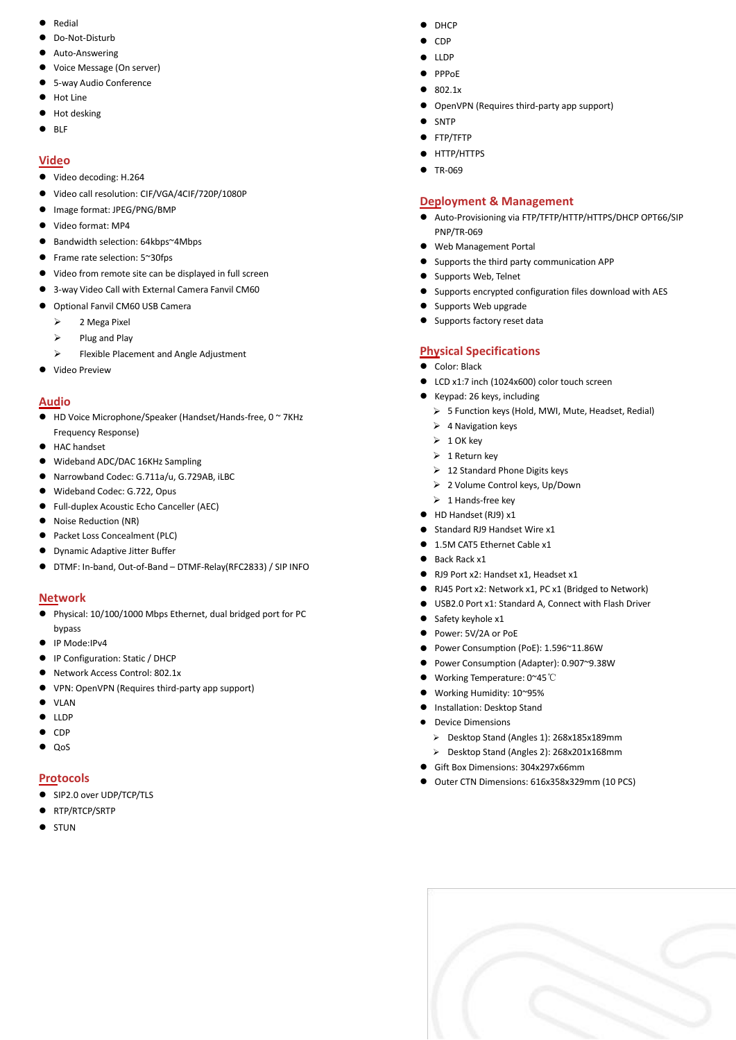- **•** Redial
- Do-Not-Disturb
- Auto-Answering
- Voice Message (On server)
- 5-way Audio Conference
- Hot Line
- $\bullet$  Hot desking
- $\bullet$  BLF

# **Video**

- Video decoding: H.264
- Video call resolution: CIF/VGA/4CIF/720P/1080P
- $\bullet$  Image format: JPEG/PNG/BMP
- Video format: MP4
- Bandwidth selection: 64kbps~4Mbps
- Frame rate selection: 5~30fps
- Video from remote site can be displayed in full screen
- 3-way Video Call with External Camera Fanvil CM60
- Optional Fanvil CM60 USB Camera
	- $\geq$  2 Mega Pixel
	- $\triangleright$  Plug and Play
	- Flexible Placement and Angle Adjustment
- Video Preview

## **Audio**

- HD Voice Microphone/Speaker (Handset/Hands-free, 0 ~ 7KHz Frequency Response)
- HAC handset
- Wideband ADC/DAC 16KHz Sampling
- Narrowband Codec: G.711a/u, G.729AB, iLBC
- Wideband Codec: G.722, Opus
- Full-duplex Acoustic Echo Canceller (AEC)
- Noise Reduction (NR)
- Packet Loss Concealment (PLC)
- Dynamic Adaptive Jitter Buffer
- DTMF: In-band, Out-of-Band DTMF-Relay(RFC2833) / SIP INFO

# **Network**

- Physical: 10/100/1000 Mbps Ethernet, dual bridged port for PC bypass
- IP Mode:IPv4
- IP Configuration: Static / DHCP
- Network Access Control: 802.1x
- VPN: OpenVPN (Requires third-party app support)
- $\bullet$  VIAN
- $\bullet$  LLDP
- $\bullet$  CDP
- $\bullet$  OoS

# **Protocols**

- SIP2.0 over UDP/TCP/TLS
- RTP/RTCP/SRTP
- **•** STUN
- $\bullet$  DHCP
- $\bullet$  CDP
- $\bullet$  LLDP
- PPPoE
- 802.1x
- OpenVPN (Requires third-party app support)
- **SNTP**
- **•** FTP/TFTP
- **•** HTTP/HTTPS
- TR-069

## **Deployment & Management**

- Auto-Provisioning via FTP/TFTP/HTTP/HTTPS/DHCP OPT66/SIP PNP/TR-069
- Web Management Portal
- Supports the third party communication APP
- Supports Web, Telnet
- Supports encrypted configuration files download with AES
- Supports Web upgrade
- Supports factory reset data

## **Physical Specifications**

- **Color: Black**
- LCD x1:7 inch (1024x600) color touch screen
- Keypad: 26 keys, including
	- 5 Function keys (Hold,MWI, Mute, Headset, Redial)
- $\triangleright$  4 Navigation keys
- $\geq 1$  OK key
- $\geq 1$  Return key
- $\geq 12$  Standard Phone Digits keys
- 2 Volume Control keys, Up/Down
- $\geq 1$  Hands-free key
- HD Handset (RJ9) x1
- Standard RJ9 Handset Wire x1
- 1.5M CAT5 Ethernet Cable x1
- Back Rack x1
- RJ9 Port x2: Handset x1, Headset x1
- RJ45 Port x2: Network x1, PC x1 (Bridged to Network)
- USB2.0 Port x1: Standard A, Connect with Flash Driver
- $\bullet$  Safety keyhole x1
- Power: 5V/2A or PoE
- Power Consumption (PoE): 1.596~11.86W
- Power Consumption (Adapter): 0.907~9.38W
- Working Temperature: 0~45℃
- Working Humidity: 10~95%
- Installation: Desktop Stand
- Device Dimensions
	- Desktop Stand (Angles 1): 268x185x189mm
	- Desktop Stand (Angles 2): 268x201x168mm
- Gift Box Dimensions: 304x297x66mm
- Outer CTN Dimensions: 616x358x329mm (10 PCS)